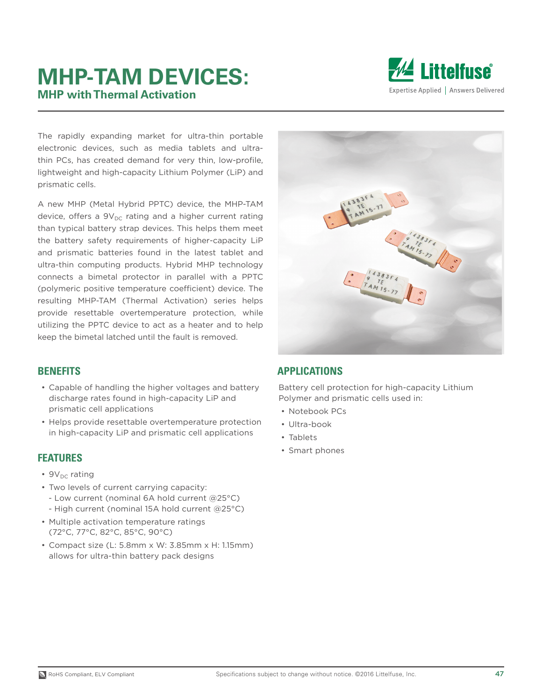# **MHP-TAM DEVICES: MHP with Thermal Activation**



The rapidly expanding market for ultra-thin portable electronic devices, such as media tablets and ultrathin PCs, has created demand for very thin, low-profile, lightweight and high-capacity Lithium Polymer (LiP) and prismatic cells.

A new MHP (Metal Hybrid PPTC) device, the MHP-TAM device, offers a  $9V_{DC}$  rating and a higher current rating than typical battery strap devices. This helps them meet the battery safety requirements of higher-capacity LiP and prismatic batteries found in the latest tablet and ultra-thin computing products. Hybrid MHP technology connects a bimetal protector in parallel with a PPTC (polymeric positive temperature coefficient) device. The resulting MHP-TAM (Thermal Activation) series helps provide resettable overtemperature protection, while utilizing the PPTC device to act as a heater and to help keep the bimetal latched until the fault is removed.

#### **BENEFITS**

- Capable of handling the higher voltages and battery discharge rates found in high-capacity LiP and prismatic cell applications
- Helps provide resettable overtemperature protection in high-capacity LiP and prismatic cell applications

#### **FEATURES**

- $9V_{DC}$  rating
- Two levels of current carrying capacity:
- Low current (nominal 6A hold current @25°C)
- High current (nominal 15A hold current @25°C)
- Multiple activation temperature ratings (72°C, 77°C, 82°C, 85°C, 90°C)
- Compact size (L: 5.8mm x W: 3.85mm x H: 1.15mm) allows for ultra-thin battery pack designs



#### **APPLICATIONS**

Battery cell protection for high-capacity Lithium Polymer and prismatic cells used in:

- Notebook PCs
- Ultra-book
- Tablets
- Smart phones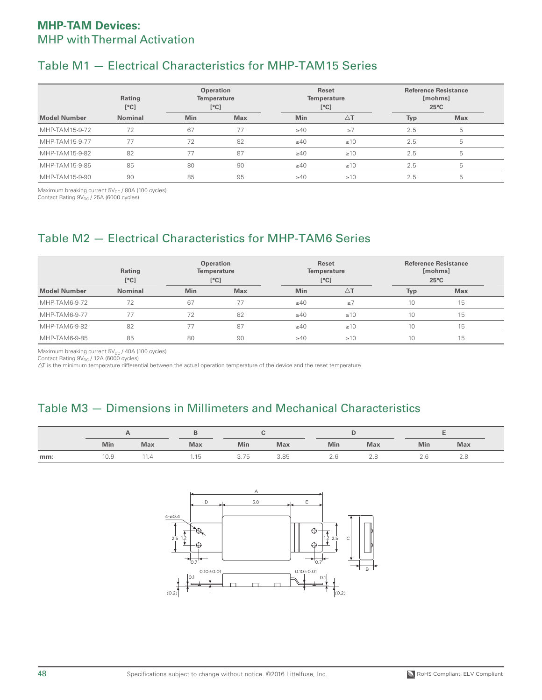## Table M1 — Electrical Characteristics for MHP-TAM15 Series

|                     | Rating<br>[°C] | <b>Operation</b><br>Temperature<br>[°C] |            | Reset<br><b>Temperature</b><br>[°C] |               | <b>Reference Resistance</b><br>[mohms]<br>$25^{\circ}$ C |            |  |
|---------------------|----------------|-----------------------------------------|------------|-------------------------------------|---------------|----------------------------------------------------------|------------|--|
| <b>Model Number</b> | <b>Nominal</b> | <b>Min</b>                              | <b>Max</b> | <b>Min</b>                          | $\triangle$ T | Typ                                                      | <b>Max</b> |  |
| MHP-TAM15-9-72      | 72             | 67                                      | 77         | $\geq 40$                           | $\geq 7$      | 2.5                                                      | 5          |  |
| MHP-TAM15-9-77      |                | 72                                      | 82         | $\geq 40$                           | $\geq 10$     | 2.5                                                      | 5          |  |
| MHP-TAM15-9-82      | 82             | 77                                      | 87         | $\geq 40$                           | $\geq 10$     | 2.5                                                      | 5          |  |
| MHP-TAM15-9-85      | 85             | 80                                      | 90         | $\geq 40$                           | $\geq 10$     | 2.5                                                      | 5          |  |
| MHP-TAM15-9-90      | 90             | 85                                      | 95         | $\geq 40$                           | $\geq 10$     | 2.5                                                      | 5          |  |

Maximum breaking current  $5V_{DC}$  / 80A (100 cycles)

Contact Rating  $9V_{DC}$  / 25A (6000 cycles)

## Table M2 — Electrical Characteristics for MHP-TAM6 Series

|                     | Rating<br>[°C] | <b>Operation</b><br>Temperature<br>[°C] |            | Reset<br>Temperature<br>[°C] |           | <b>Reference Resistance</b><br>[mohms]<br>$25^{\circ}$ C |            |  |
|---------------------|----------------|-----------------------------------------|------------|------------------------------|-----------|----------------------------------------------------------|------------|--|
| <b>Model Number</b> | <b>Nominal</b> | <b>Min</b>                              | <b>Max</b> | <b>Min</b>                   | ΔT        | <b>Typ</b>                                               | <b>Max</b> |  |
| MHP-TAM6-9-72       | 72             | 67                                      | 77         | $\geq 40$                    | $\geq 7$  | 10                                                       | 15         |  |
| MHP-TAM6-9-77       |                | 72                                      | 82         | $\geq 40$                    | $\geq 10$ | 10                                                       | 15         |  |
| MHP-TAM6-9-82       | 82             | 77                                      | 87         | $\geq 40$                    | $\geq 10$ | 10                                                       | 15         |  |
| MHP-TAM6-9-85       | 85             | 80                                      | 90         | $\geq 40$                    | $\geq 10$ | 10                                                       | 15         |  |

Maximum breaking current  $5V_{DC}$  / 40A (100 cycles)

Contact Rating 9V<sub>DC</sub> / 12A (6000 cycles)<br>∆T is the minimum temperature differential between the actual operation temperature of the device and the reset temperature

### Table M3 — Dimensions in Millimeters and Mechanical Characteristics

|     | Min  | <b>Max</b> | <b>Max</b> | Min                              | <b>Max</b> | Min | <b>Max</b> | Min | <b>Max</b> |  |
|-----|------|------------|------------|----------------------------------|------------|-----|------------|-----|------------|--|
| mm: | 10.9 | 1.4،       | 51.،       | $\overline{\phantom{a}}$<br>3.75 | 3.85       | Ίh  |            |     | $\sim$     |  |



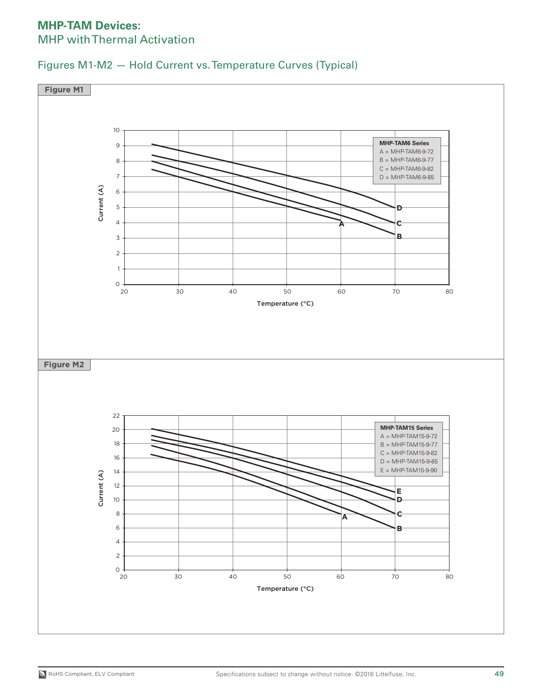

Figures M1-M2 — Hold Current vs. Temperature Curves (Typical)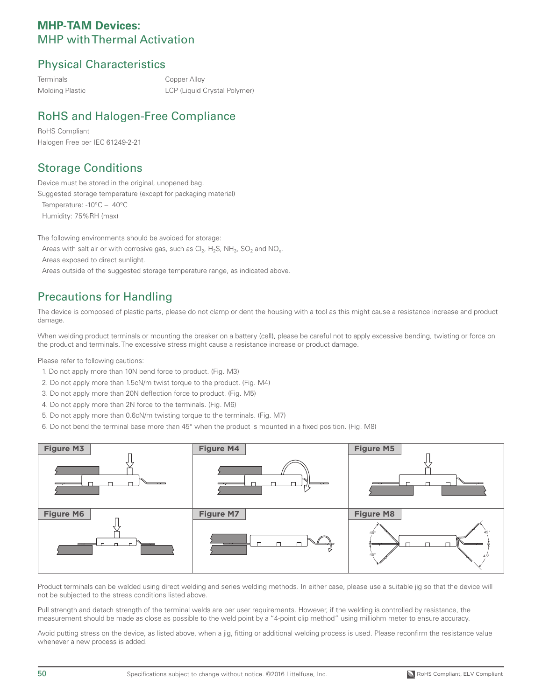### Physical Characteristics

Terminals Copper Alloy Molding Plastic LCP (Liquid Crystal Polymer)

## RoHS and Halogen-Free Compliance

RoHS Compliant Halogen Free per IEC 61249-2-21

### Storage Conditions

Device must be stored in the original, unopened bag. Suggested storage temperature (except for packaging material)

Temperature: -10°C - 40°C Humidity: 75%RH (max)

The following environments should be avoided for storage: Areas with salt air or with corrosive gas, such as  $Cl_2$ , H<sub>2</sub>S, NH<sub>3</sub>, SO<sub>2</sub> and NO<sub>x</sub>. Areas exposed to direct sunlight. Areas outside of the suggested storage temperature range, as indicated above.

### Precautions for Handling

The device is composed of plastic parts, please do not clamp or dent the housing with a tool as this might cause a resistance increase and product damage.

When welding product terminals or mounting the breaker on a battery (cell), please be careful not to apply excessive bending, twisting or force on the product and terminals. The excessive stress might cause a resistance increase or product damage.

Please refer to following cautions:

- 1. Do not apply more than 10N bend force to product. (Fig. M3)
- 2. Do not apply more than 1.5cN/m twist torque to the product. (Fig. M4)
- 3. Do not apply more than 20N deflection force to product. (Fig. M5)
- 4. Do not apply more than 2N force to the terminals. (Fig. M6)
- 5. Do not apply more than 0.6cN/m twisting torque to the terminals. (Fig. M7)
- 6. Do not bend the terminal base more than 45° when the product is mounted in a fixed position. (Fig. M8)



Product terminals can be welded using direct welding and series welding methods. In either case, please use a suitable jig so that the device will not be subjected to the stress conditions listed above.

Pull strength and detach strength of the terminal welds are per user requirements. However, if the welding is controlled by resistance, the measurement should be made as close as possible to the weld point by a "4-point clip method" using milliohm meter to ensure accuracy.

Avoid putting stress on the device, as listed above, when a jig, fitting or additional welding process is used. Please reconfirm the resistance value whenever a new process is added.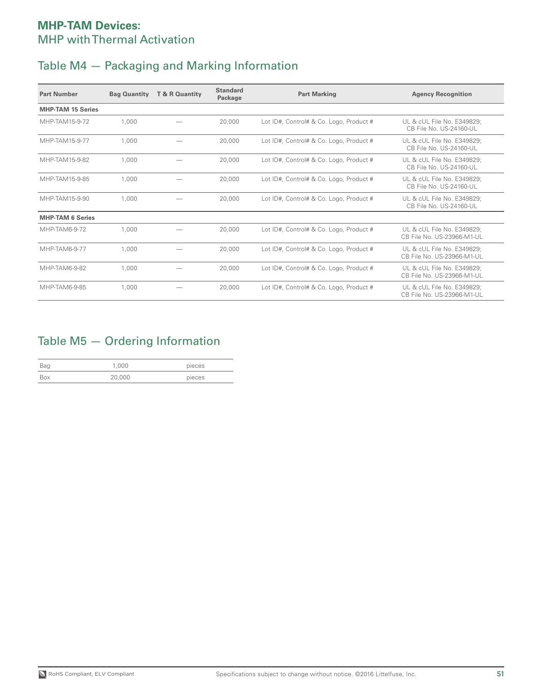# Table M4 — Packaging and Marking Information

| <b>Part Number</b>       | <b>Bag Quantity</b> | T & R Quantity | <b>Standard</b><br>Package | <b>Part Marking</b>                     | <b>Agency Recognition</b>                                |
|--------------------------|---------------------|----------------|----------------------------|-----------------------------------------|----------------------------------------------------------|
| <b>MHP-TAM 15 Series</b> |                     |                |                            |                                         |                                                          |
| MHP-TAM15-9-72           | 1.000               |                | 20,000                     | Lot ID#, Control# & Co. Logo, Product # | UL & cUL File No. E349829;<br>CB File No. US-24160-UL    |
| MHP-TAM15-9-77           | 1.000               |                | 20,000                     | Lot ID#, Control# & Co. Logo, Product # | UL & cUL File No. E349829;<br>CB File No. US-24160-UL    |
| MHP-TAM15-9-82           | 1.000               |                | 20,000                     | Lot ID#, Control# & Co. Logo, Product # | UL & cUL File No. E349829:<br>CB File No. US-24160-UL    |
| MHP-TAM15-9-85           | 1.000               |                | 20,000                     | Lot ID#, Control# & Co. Logo, Product # | UL & cUL File No. E349829:<br>CB File No. US-24160-UL    |
| MHP-TAM15-9-90           | 1.000               |                | 20,000                     | Lot ID#, Control# & Co. Logo, Product # | UL & cUL File No. E349829:<br>CB File No. US-24160-UL    |
| <b>MHP-TAM 6 Series</b>  |                     |                |                            |                                         |                                                          |
| MHP-TAM6-9-72            | 1.000               |                | 20,000                     | Lot ID#, Control# & Co. Logo, Product # | UL & cUL File No. E349829:<br>CB File No. US-23966-M1-UL |
| MHP-TAM6-9-77            | 1.000               |                | 20,000                     | Lot ID#, Control# & Co. Logo, Product # | UL & cUL File No. E349829:<br>CB File No. US-23966-M1-UL |
| MHP-TAM6-9-82            | 1.000               |                | 20,000                     | Lot ID#, Control# & Co. Logo, Product # | UL & cUL File No. E349829:<br>CB File No. US-23966-M1-UL |
| MHP-TAM6-9-85            | 1.000               |                | 20,000                     | Lot ID#, Control# & Co. Logo, Product # | UL & cUL File No. E349829:<br>CB File No. US-23966-M1-UL |

### Table M5 — Ordering Information

| Bag | 1,000  | pieces |
|-----|--------|--------|
|     | 20,000 | pieces |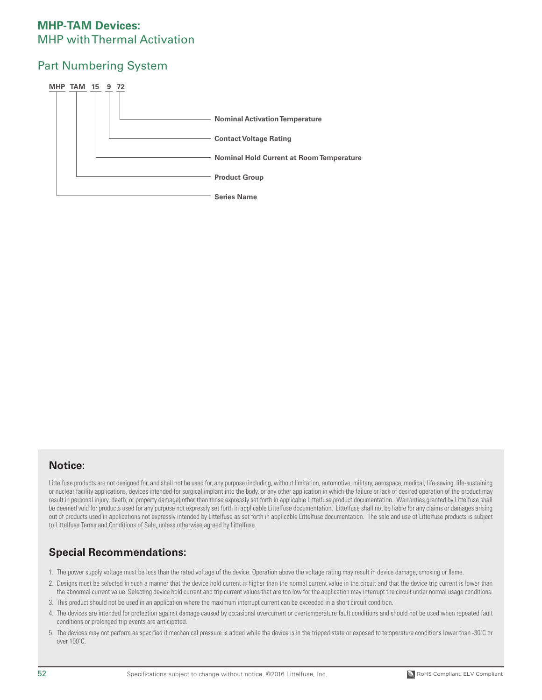### Part Numbering System



#### **Notice:**

Littelfuse products are not designed for, and shall not be used for, any purpose (including, without limitation, automotive, military, aerospace, medical, life-saving, life-sustaining or nuclear facility applications, devices intended for surgical implant into the body, or any other application in which the failure or lack of desired operation of the product may result in personal injury, death, or property damage) other than those expressly set forth in applicable Littelfuse product documentation. Warranties granted by Littelfuse shall be deemed void for products used for any purpose not expressly set forth in applicable Littelfuse documentation. Littelfuse shall not be liable for any claims or damages arising out of products used in applications not expressly intended by Littelfuse as set forth in applicable Littelfuse documentation. The sale and use of Littelfuse products is subject to Littelfuse Terms and Conditions of Sale, unless otherwise agreed by Littelfuse.

### **Special Recommendations:**

- 1. The power supply voltage must be less than the rated voltage of the device. Operation above the voltage rating may result in device damage, smoking or flame.
- 2. Designs must be selected in such a manner that the device hold current is higher than the normal current value in the circuit and that the device trip current is lower than the abnormal current value. Selecting device hold current and trip current values that are too low for the application may interrupt the circuit under normal usage conditions.
- 3. This product should not be used in an application where the maximum interrupt current can be exceeded in a short circuit condition.
- 4. The devices are intended for protection against damage caused by occasional overcurrent or overtemperature fault conditions and should not be used when repeated fault conditions or prolonged trip events are anticipated.
- 5. The devices may not perform as specified if mechanical pressure is added while the device is in the tripped state or exposed to temperature conditions lower than -30˚C or over 100˚C.